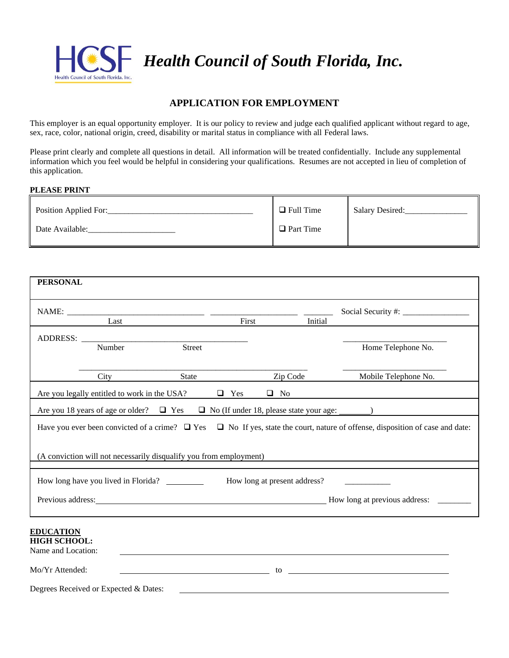

# **APPLICATION FOR EMPLOYMENT**

This employer is an equal opportunity employer. It is our policy to review and judge each qualified applicant without regard to age, sex, race, color, national origin, creed, disability or marital status in compliance with all Federal laws.

Please print clearly and complete all questions in detail. All information will be treated confidentially. Include any supplemental information which you feel would be helpful in considering your qualifications. Resumes are not accepted in lieu of completion of this application.

### **PLEASE PRINT**

| Position Applied For: | $\Box$ Full Time | <b>Salary Desired:</b> |
|-----------------------|------------------|------------------------|
| Date Available:       | $\Box$ Part Time |                        |

| <b>PERSONAL</b>                                                                  |                                              |                                                                    |            |           |                                                                                                                                         |  |
|----------------------------------------------------------------------------------|----------------------------------------------|--------------------------------------------------------------------|------------|-----------|-----------------------------------------------------------------------------------------------------------------------------------------|--|
| NAME:                                                                            |                                              |                                                                    |            |           |                                                                                                                                         |  |
|                                                                                  | Last                                         |                                                                    | First      |           | Initial                                                                                                                                 |  |
|                                                                                  |                                              |                                                                    |            |           |                                                                                                                                         |  |
|                                                                                  | Number                                       | Street                                                             |            |           | Home Telephone No.                                                                                                                      |  |
|                                                                                  | City                                         | State                                                              |            | Zip Code  | Mobile Telephone No.                                                                                                                    |  |
|                                                                                  | Are you legally entitled to work in the USA? |                                                                    | $\Box$ Yes | $\Box$ No |                                                                                                                                         |  |
|                                                                                  |                                              |                                                                    |            |           | Are you 18 years of age or older? $\Box$ Yes $\Box$ No (If under 18, please state your age: _______)                                    |  |
|                                                                                  |                                              |                                                                    |            |           | Have you ever been convicted of a crime? $\Box$ Yes $\Box$ No If yes, state the court, nature of offense, disposition of case and date: |  |
|                                                                                  |                                              | (A conviction will not necessarily disqualify you from employment) |            |           |                                                                                                                                         |  |
| How long at present address?<br>How long have you lived in Florida?              |                                              |                                                                    |            |           |                                                                                                                                         |  |
|                                                                                  |                                              |                                                                    |            |           |                                                                                                                                         |  |
| <b>EDUCATION</b><br><b>HIGH SCHOOL:</b><br>Name and Location:<br>Mo/Yr Attended: |                                              | $\sim$ to the state of the state $\sim$                            |            |           |                                                                                                                                         |  |
|                                                                                  | Degrees Received or Expected & Dates:        |                                                                    |            |           |                                                                                                                                         |  |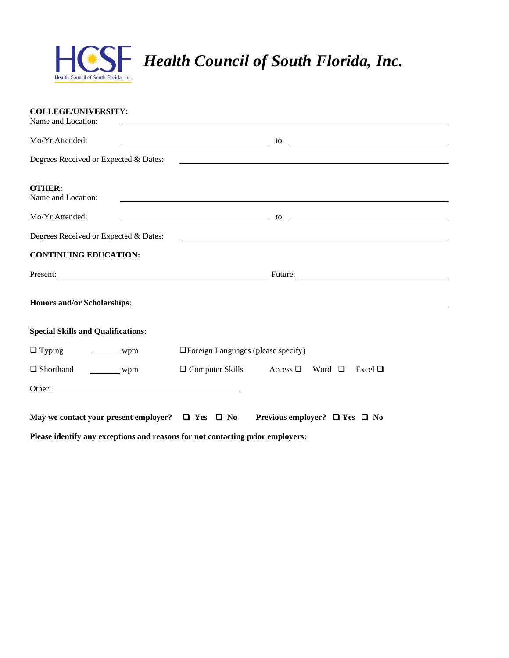

| <b>COLLEGE/UNIVERSITY:</b><br>Name and Location:                                                                                                                                                                              |                                                                                                                                                                                                                                |
|-------------------------------------------------------------------------------------------------------------------------------------------------------------------------------------------------------------------------------|--------------------------------------------------------------------------------------------------------------------------------------------------------------------------------------------------------------------------------|
| Mo/Yr Attended:                                                                                                                                                                                                               |                                                                                                                                                                                                                                |
| Degrees Received or Expected & Dates:                                                                                                                                                                                         | <u> 1989 - Johann Stoff, amerikansk politiker (d. 1989)</u>                                                                                                                                                                    |
| <b>OTHER:</b><br>Name and Location:                                                                                                                                                                                           | <u> 1989 - Johann Stoff, deutscher Stoffen und der Stoffen und der Stoffen und der Stoffen und der Stoffen und der</u>                                                                                                         |
| Mo/Yr Attended:                                                                                                                                                                                                               | $\sim$ to $\sim$ to $\sim$                                                                                                                                                                                                     |
| Degrees Received or Expected & Dates:                                                                                                                                                                                         | <u> 1989 - John Harry Harry Harry Harry Harry Harry Harry Harry Harry Harry Harry Harry Harry Harry Harry Harry</u>                                                                                                            |
| <b>CONTINUING EDUCATION:</b>                                                                                                                                                                                                  |                                                                                                                                                                                                                                |
|                                                                                                                                                                                                                               | Present: Future: Future: Future: Future: Future: Future: Future: Future: Future: Future: Future: Future: Future: Future: Future: Future: Future: Future: Future: Future: Future: Future: Future: Future: Future: Future: Futur |
|                                                                                                                                                                                                                               | Honors and/or Scholarships: Note that the state of the state of the state of the state of the state of the state of the state of the state of the state of the state of the state of the state of the state of the state of th |
| <b>Special Skills and Qualifications:</b>                                                                                                                                                                                     |                                                                                                                                                                                                                                |
| $\Box$ Typing $\Box$ wpm                                                                                                                                                                                                      | $\Box$ Foreign Languages (please specify)                                                                                                                                                                                      |
| Shorthand ___________ wpm                                                                                                                                                                                                     | $\Box$ Computer Skills Access $\Box$ Word $\Box$ Excel $\Box$                                                                                                                                                                  |
| Other: Changes of the Community of the Community of the Community of the Community of the Community of the Community of the Community of the Community of the Community of the Community of the Community of the Community of |                                                                                                                                                                                                                                |
| Please identify any exceptions and reasons for not contacting prior employers:                                                                                                                                                | May we contact your present employer? $\Box$ Yes $\Box$ No Previous employer? $\Box$ Yes $\Box$ No                                                                                                                             |
|                                                                                                                                                                                                                               |                                                                                                                                                                                                                                |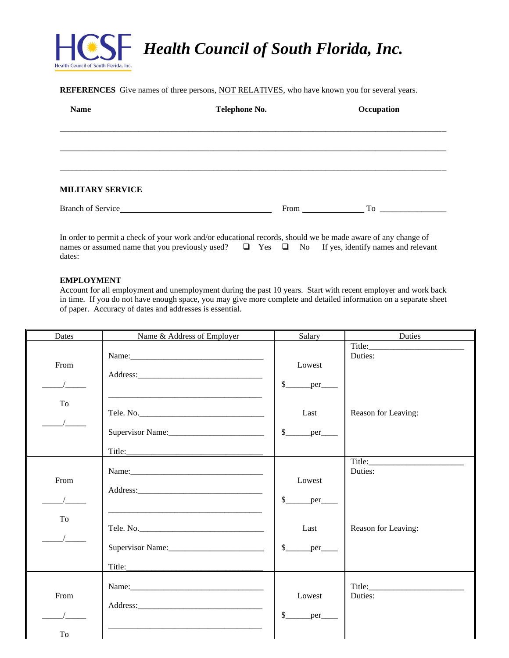

**REFERENCES** Give names of three persons, NOT RELATIVES, who have known you for several years.

| <b>Name</b>             | Telephone No. | Occupation |
|-------------------------|---------------|------------|
|                         |               |            |
|                         |               |            |
|                         |               |            |
| <b>MILITARY SERVICE</b> |               |            |
| Branch of Service_      | From          | To         |

In order to permit a check of your work and/or educational records, should we be made aware of any change of names or assumed name that you previously used?  $\Box$  Yes  $\Box$  No If yes, identify names and releval □ Yes □ No If yes, identify names and relevant dates:

#### **EMPLOYMENT**

Account for all employment and unemployment during the past 10 years. Start with recent employer and work back in time. If you do not have enough space, you may give more complete and detailed information on a separate sheet of paper. Accuracy of dates and addresses is essential.

| Dates      | Name & Address of Employer | Salary                                                       | Duties                         |
|------------|----------------------------|--------------------------------------------------------------|--------------------------------|
| From       |                            | Lowest<br>$\mathbb{S}$<br>per                                | Duties:                        |
| To         |                            | Last<br>$\frac{\text{S}}{\text{S}}$ per                      | Reason for Leaving:            |
| From<br>To |                            | Lowest<br>$\mathbb{S}$<br>per<br>Last<br>$\mathbb{S}$<br>per | Duties:<br>Reason for Leaving: |
| From<br>To |                            | Lowest<br>$\mathbb{S}$<br>$per$ <sub>____</sub>              | Title: Title:<br>Duties:       |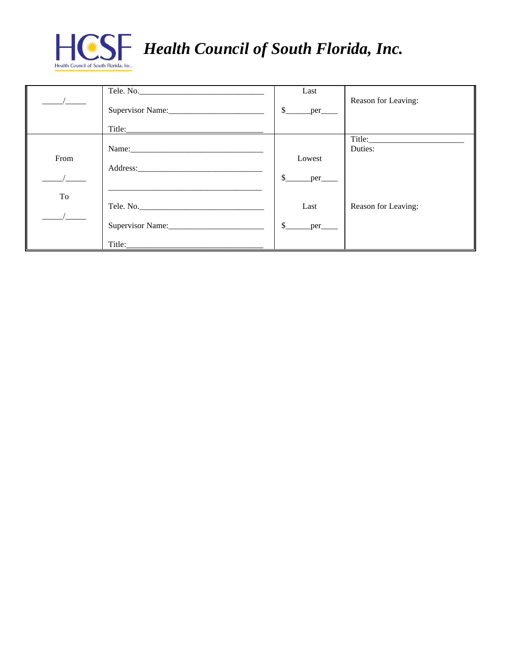

|      |                                                                                                                                                                                                                               | Last                 | Reason for Leaving: |
|------|-------------------------------------------------------------------------------------------------------------------------------------------------------------------------------------------------------------------------------|----------------------|---------------------|
|      | Supervisor Name:                                                                                                                                                                                                              | <sup>\$</sup><br>per |                     |
|      | Title:                                                                                                                                                                                                                        |                      |                     |
|      | Name: Name and the second contract of the second contract of the second contract of the second contract of the second contract of the second contract of the second contract of the second contract of the second contract of |                      | Duties:             |
| From |                                                                                                                                                                                                                               | Lowest               |                     |
|      |                                                                                                                                                                                                                               | \$<br>per            |                     |
| To   | Tele. No.                                                                                                                                                                                                                     | Last                 | Reason for Leaving: |
|      |                                                                                                                                                                                                                               |                      |                     |
|      | Supervisor Name:                                                                                                                                                                                                              | \$.<br>per           |                     |
|      | Title:                                                                                                                                                                                                                        |                      |                     |